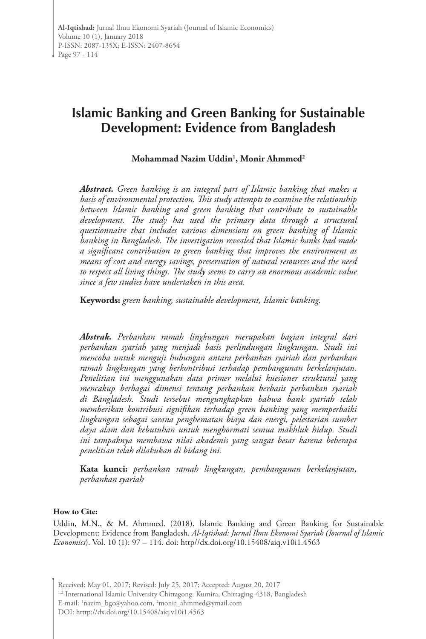# **Islamic Banking and Green Banking for Sustainable Development: Evidence from Bangladesh**

### **Mohammad Nazim Uddin1 , Monir Ahmmed2**

*Abstract. Green banking is an integral part of Islamic banking that makes a basis of environmental protection. This study attempts to examine the relationship between Islamic banking and green banking that contribute to sustainable development. The study has used the primary data through a structural questionnaire that includes various dimensions on green banking of Islamic banking in Bangladesh. The investigation revealed that Islamic banks had made a significant contribution to green banking that improves the environment as means of cost and energy savings, preservation of natural resources and the need to respect all living things. The study seems to carry an enormous academic value since a few studies have undertaken in this area.* 

**Keywords:** *green banking, sustainable development, Islamic banking.*

*Abstrak. Perbankan ramah lingkungan merupakan bagian integral dari perbankan syariah yang menjadi basis perlindungan lingkungan. Studi ini mencoba untuk menguji hubungan antara perbankan syariah dan perbankan ramah lingkungan yang berkontribusi terhadap pembangunan berkelanjutan. Penelitian ini menggunakan data primer melalui kuesioner struktural yang mencakup berbagai dimensi tentang perbankan berbasis perbankan syariah di Bangladesh. Studi tersebut mengungkapkan bahwa bank syariah telah memberikan kontribusi signifikan terhadap green banking yang memperbaiki lingkungan sebagai sarana penghematan biaya dan energi, pelestarian sumber daya alam dan kebutuhan untuk menghormati semua makhluk hidup. Studi ini tampaknya membawa nilai akademis yang sangat besar karena beberapa penelitian telah dilakukan di bidang ini.*

**Kata kunci:** *perbankan ramah lingkungan, pembangunan berkelanjutan, perbankan syariah*

#### **How to Cite:**

Uddin, M.N., & M. Ahmmed. (2018). Islamic Banking and Green Banking for Sustainable Development: Evidence from Bangladesh. *Al-Iqtishad: Jurnal Ilmu Ekonomi Syariah (Journal of Islamic Economics*). Vol. 10 (1): 97 – 114. doi: http//dx.doi.org/10.15408/aiq.v10i1.4563

Received: May 01, 2017; Revised: July 25, 2017; Accepted: August 20, 2017

<sup>1,2</sup> International Islamic University Chittagong. Kumira, Chittaging-4318, Bangladesh E-mail: 'nazim\_bgc@yahoo.com, <sup>2</sup>monir\_ahmmed@ymail.com DOI: htttp://dx.doi.org/10.15408/aiq.v10i1.4563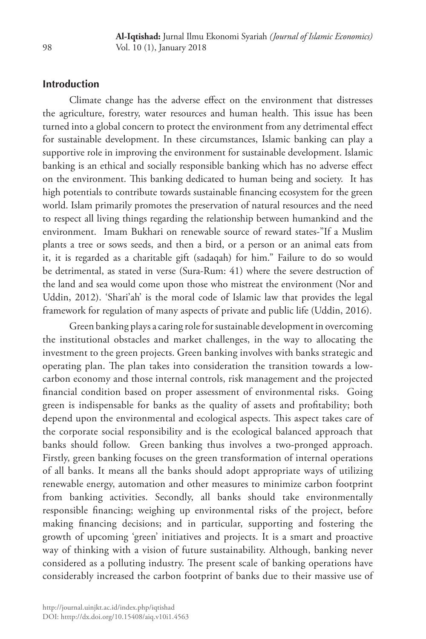# **Introduction**

Climate change has the adverse effect on the environment that distresses the agriculture, forestry, water resources and human health. This issue has been turned into a global concern to protect the environment from any detrimental effect for sustainable development. In these circumstances, Islamic banking can play a supportive role in improving the environment for sustainable development. Islamic banking is an ethical and socially responsible banking which has no adverse effect on the environment. This banking dedicated to human being and society. It has high potentials to contribute towards sustainable financing ecosystem for the green world. Islam primarily promotes the preservation of natural resources and the need to respect all living things regarding the relationship between humankind and the environment. Imam Bukhari on renewable source of reward states-"If a Muslim plants a tree or sows seeds, and then a bird, or a person or an animal eats from it, it is regarded as a charitable gift (sadaqah) for him." Failure to do so would be detrimental, as stated in verse (Sura-Rum: 41) where the severe destruction of the land and sea would come upon those who mistreat the environment (Nor and Uddin, 2012). 'Shari'ah' is the moral code of Islamic law that provides the legal framework for regulation of many aspects of private and public life (Uddin, 2016).

Green banking plays a caring role for sustainable development in overcoming the institutional obstacles and market challenges, in the way to allocating the investment to the green projects. Green banking involves with banks strategic and operating plan. The plan takes into consideration the transition towards a lowcarbon economy and those internal controls, risk management and the projected financial condition based on proper assessment of environmental risks. Going green is indispensable for banks as the quality of assets and profitability; both depend upon the environmental and ecological aspects. This aspect takes care of the corporate social responsibility and is the ecological balanced approach that banks should follow. Green banking thus involves a two-pronged approach. Firstly, green banking focuses on the green transformation of internal operations of all banks. It means all the banks should adopt appropriate ways of utilizing renewable energy, automation and other measures to minimize carbon footprint from banking activities. Secondly, all banks should take environmentally responsible financing; weighing up environmental risks of the project, before making financing decisions; and in particular, supporting and fostering the growth of upcoming 'green' initiatives and projects. It is a smart and proactive way of thinking with a vision of future sustainability. Although, banking never considered as a polluting industry. The present scale of banking operations have considerably increased the carbon footprint of banks due to their massive use of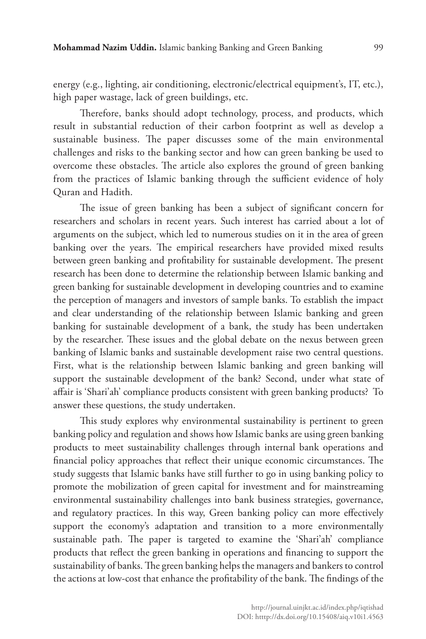energy (e.g., lighting, air conditioning, electronic/electrical equipment's, IT, etc.), high paper wastage, lack of green buildings, etc.

Therefore, banks should adopt technology, process, and products, which result in substantial reduction of their carbon footprint as well as develop a sustainable business. The paper discusses some of the main environmental challenges and risks to the banking sector and how can green banking be used to overcome these obstacles. The article also explores the ground of green banking from the practices of Islamic banking through the sufficient evidence of holy Quran and Hadith.

The issue of green banking has been a subject of significant concern for researchers and scholars in recent years. Such interest has carried about a lot of arguments on the subject, which led to numerous studies on it in the area of green banking over the years. The empirical researchers have provided mixed results between green banking and profitability for sustainable development. The present research has been done to determine the relationship between Islamic banking and green banking for sustainable development in developing countries and to examine the perception of managers and investors of sample banks. To establish the impact and clear understanding of the relationship between Islamic banking and green banking for sustainable development of a bank, the study has been undertaken by the researcher. These issues and the global debate on the nexus between green banking of Islamic banks and sustainable development raise two central questions. First, what is the relationship between Islamic banking and green banking will support the sustainable development of the bank? Second, under what state of affair is 'Shari'ah' compliance products consistent with green banking products? To answer these questions, the study undertaken.

This study explores why environmental sustainability is pertinent to green banking policy and regulation and shows how Islamic banks are using green banking products to meet sustainability challenges through internal bank operations and financial policy approaches that reflect their unique economic circumstances. The study suggests that Islamic banks have still further to go in using banking policy to promote the mobilization of green capital for investment and for mainstreaming environmental sustainability challenges into bank business strategies, governance, and regulatory practices. In this way, Green banking policy can more effectively support the economy's adaptation and transition to a more environmentally sustainable path. The paper is targeted to examine the 'Shari'ah' compliance products that reflect the green banking in operations and financing to support the sustainability of banks. The green banking helps the managers and bankers to control the actions at low-cost that enhance the profitability of the bank. The findings of the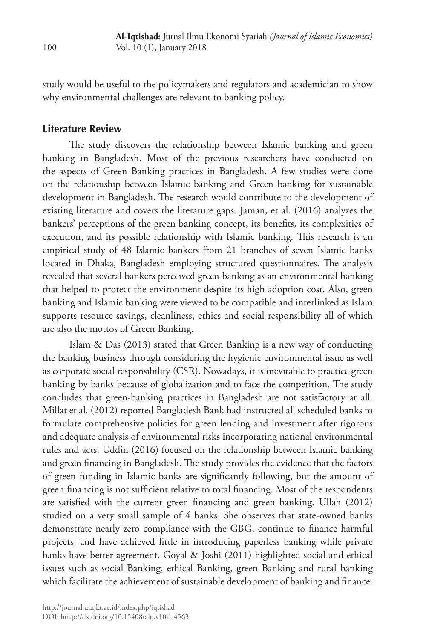study would be useful to the policymakers and regulators and academician to show why environmental challenges are relevant to banking policy.

#### **Literature Review**

The study discovers the relationship between Islamic banking and green banking in Bangladesh. Most of the previous researchers have conducted on the aspects of Green Banking practices in Bangladesh. A few studies were done on the relationship between Islamic banking and Green banking for sustainable development in Bangladesh. The research would contribute to the development of existing literature and covers the literature gaps. Jaman, et al. (2016) analyzes the bankers' perceptions of the green banking concept, its benefits, its complexities of execution, and its possible relationship with Islamic banking. This research is an empirical study of 48 Islamic bankers from 21 branches of seven Islamic banks located in Dhaka, Bangladesh employing structured questionnaires. The analysis revealed that several bankers perceived green banking as an environmental banking that helped to protect the environment despite its high adoption cost. Also, green banking and Islamic banking were viewed to be compatible and interlinked as Islam supports resource savings, cleanliness, ethics and social responsibility all of which are also the mottos of Green Banking.

Islam & Das (2013) stated that Green Banking is a new way of conducting the banking business through considering the hygienic environmental issue as well as corporate social responsibility (CSR). Nowadays, it is inevitable to practice green banking by banks because of globalization and to face the competition. The study concludes that green-banking practices in Bangladesh are not satisfactory at all. Millat et al. (2012) reported Bangladesh Bank had instructed all scheduled banks to formulate comprehensive policies for green lending and investment after rigorous and adequate analysis of environmental risks incorporating national environmental rules and acts. Uddin (2016) focused on the relationship between Islamic banking and green financing in Bangladesh. The study provides the evidence that the factors of green funding in Islamic banks are significantly following, but the amount of green financing is not sufficient relative to total financing. Most of the respondents are satisfied with the current green financing and green banking. Ullah (2012) studied on a very small sample of 4 banks. She observes that state-owned banks demonstrate nearly zero compliance with the GBG, continue to finance harmful projects, and have achieved little in introducing paperless banking while private banks have better agreement. Goyal & Joshi (2011) highlighted social and ethical issues such as social Banking, ethical Banking, green Banking and rural banking which facilitate the achievement of sustainable development of banking and finance.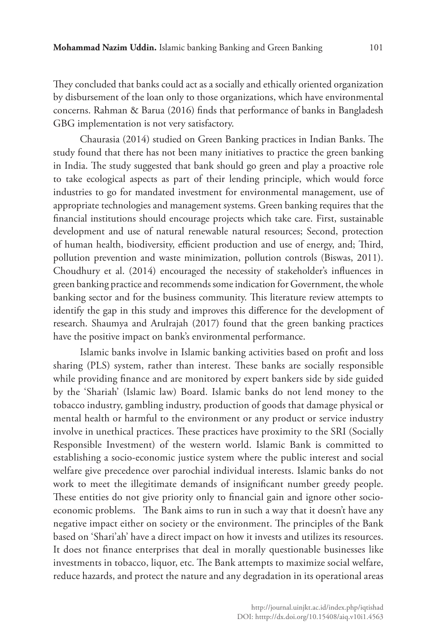They concluded that banks could act as a socially and ethically oriented organization by disbursement of the loan only to those organizations, which have environmental concerns. Rahman & Barua (2016) finds that performance of banks in Bangladesh GBG implementation is not very satisfactory.

Chaurasia (2014) studied on Green Banking practices in Indian Banks. The study found that there has not been many initiatives to practice the green banking in India. The study suggested that bank should go green and play a proactive role to take ecological aspects as part of their lending principle, which would force industries to go for mandated investment for environmental management, use of appropriate technologies and management systems. Green banking requires that the financial institutions should encourage projects which take care. First, sustainable development and use of natural renewable natural resources; Second, protection of human health, biodiversity, efficient production and use of energy, and; Third, pollution prevention and waste minimization, pollution controls (Biswas, 2011). Choudhury et al. (2014) encouraged the necessity of stakeholder's influences in green banking practice and recommends some indication for Government, the whole banking sector and for the business community. This literature review attempts to identify the gap in this study and improves this difference for the development of research. Shaumya and Arulrajah (2017) found that the green banking practices have the positive impact on bank's environmental performance.

Islamic banks involve in Islamic banking activities based on profit and loss sharing (PLS) system, rather than interest. These banks are socially responsible while providing finance and are monitored by expert bankers side by side guided by the 'Shariah' (Islamic law) Board. Islamic banks do not lend money to the tobacco industry, gambling industry, production of goods that damage physical or mental health or harmful to the environment or any product or service industry involve in unethical practices. These practices have proximity to the SRI (Socially Responsible Investment) of the western world. Islamic Bank is committed to establishing a socio-economic justice system where the public interest and social welfare give precedence over parochial individual interests. Islamic banks do not work to meet the illegitimate demands of insignificant number greedy people. These entities do not give priority only to financial gain and ignore other socioeconomic problems. The Bank aims to run in such a way that it doesn't have any negative impact either on society or the environment. The principles of the Bank based on 'Shari'ah' have a direct impact on how it invests and utilizes its resources. It does not finance enterprises that deal in morally questionable businesses like investments in tobacco, liquor, etc. The Bank attempts to maximize social welfare, reduce hazards, and protect the nature and any degradation in its operational areas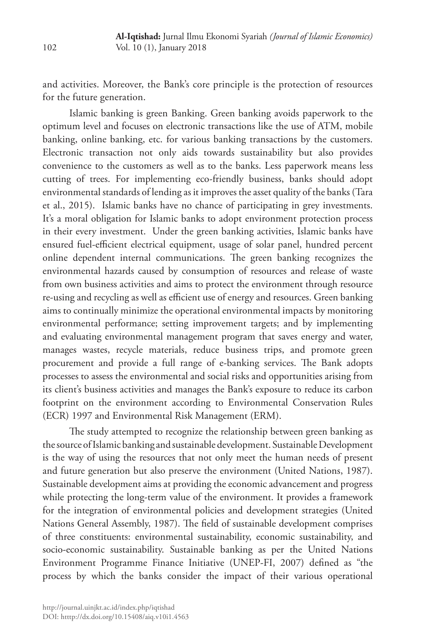and activities. Moreover, the Bank's core principle is the protection of resources for the future generation.

Islamic banking is green Banking. Green banking avoids paperwork to the optimum level and focuses on electronic transactions like the use of ATM, mobile banking, online banking, etc. for various banking transactions by the customers. Electronic transaction not only aids towards sustainability but also provides convenience to the customers as well as to the banks. Less paperwork means less cutting of trees. For implementing eco-friendly business, banks should adopt environmental standards of lending as it improves the asset quality of the banks (Tara et al., 2015). Islamic banks have no chance of participating in grey investments. It's a moral obligation for Islamic banks to adopt environment protection process in their every investment. Under the green banking activities, Islamic banks have ensured fuel-efficient electrical equipment, usage of solar panel, hundred percent online dependent internal communications. The green banking recognizes the environmental hazards caused by consumption of resources and release of waste from own business activities and aims to protect the environment through resource re-using and recycling as well as efficient use of energy and resources. Green banking aims to continually minimize the operational environmental impacts by monitoring environmental performance; setting improvement targets; and by implementing and evaluating environmental management program that saves energy and water, manages wastes, recycle materials, reduce business trips, and promote green procurement and provide a full range of e-banking services. The Bank adopts processes to assess the environmental and social risks and opportunities arising from its client's business activities and manages the Bank's exposure to reduce its carbon footprint on the environment according to Environmental Conservation Rules (ECR) 1997 and Environmental Risk Management (ERM).

The study attempted to recognize the relationship between green banking as the source of Islamic banking and sustainable development. Sustainable Development is the way of using the resources that not only meet the human needs of present and future generation but also preserve the environment (United Nations, 1987). Sustainable development aims at providing the economic advancement and progress while protecting the long-term value of the environment. It provides a framework for the integration of environmental policies and development strategies (United Nations General Assembly, 1987). The field of sustainable development comprises of three constituents: environmental sustainability, economic sustainability, and socio-economic sustainability. Sustainable banking as per the United Nations Environment Programme Finance Initiative (UNEP-FI, 2007) defined as "the process by which the banks consider the impact of their various operational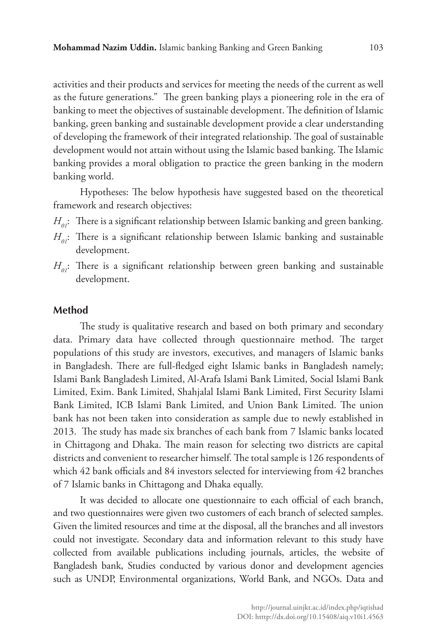activities and their products and services for meeting the needs of the current as well as the future generations." The green banking plays a pioneering role in the era of banking to meet the objectives of sustainable development. The definition of Islamic banking, green banking and sustainable development provide a clear understanding of developing the framework of their integrated relationship. The goal of sustainable development would not attain without using the Islamic based banking. The Islamic banking provides a moral obligation to practice the green banking in the modern banking world.

Hypotheses: The below hypothesis have suggested based on the theoretical framework and research objectives:

- $H_{01}$ : There is a significant relationship between Islamic banking and green banking.
- $H_{01}$ : There is a significant relationship between Islamic banking and sustainable development.
- $H_{01}$ : There is a significant relationship between green banking and sustainable development.

#### **Method**

The study is qualitative research and based on both primary and secondary data. Primary data have collected through questionnaire method. The target populations of this study are investors, executives, and managers of Islamic banks in Bangladesh. There are full-fledged eight Islamic banks in Bangladesh namely; Islami Bank Bangladesh Limited, Al-Arafa Islami Bank Limited, Social Islami Bank Limited, Exim. Bank Limited, Shahjalal Islami Bank Limited, First Security Islami Bank Limited, ICB Islami Bank Limited, and Union Bank Limited. The union bank has not been taken into consideration as sample due to newly established in 2013. The study has made six branches of each bank from 7 Islamic banks located in Chittagong and Dhaka. The main reason for selecting two districts are capital districts and convenient to researcher himself. The total sample is 126 respondents of which 42 bank officials and 84 investors selected for interviewing from 42 branches of 7 Islamic banks in Chittagong and Dhaka equally.

It was decided to allocate one questionnaire to each official of each branch, and two questionnaires were given two customers of each branch of selected samples. Given the limited resources and time at the disposal, all the branches and all investors could not investigate. Secondary data and information relevant to this study have collected from available publications including journals, articles, the website of Bangladesh bank, Studies conducted by various donor and development agencies such as UNDP, Environmental organizations, World Bank, and NGOs. Data and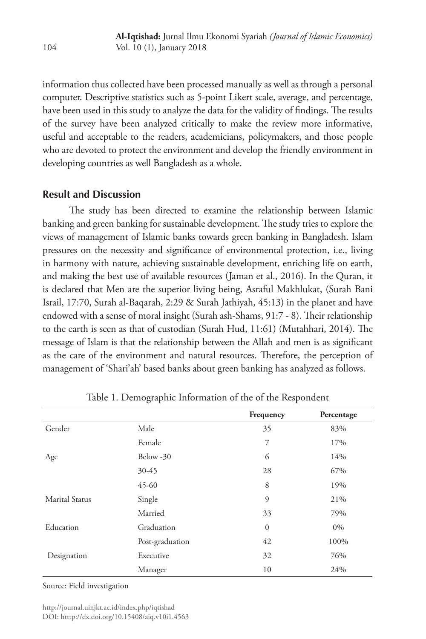information thus collected have been processed manually as well as through a personal computer. Descriptive statistics such as 5-point Likert scale, average, and percentage, have been used in this study to analyze the data for the validity of findings. The results of the survey have been analyzed critically to make the review more informative, useful and acceptable to the readers, academicians, policymakers, and those people who are devoted to protect the environment and develop the friendly environment in developing countries as well Bangladesh as a whole.

# **Result and Discussion**

The study has been directed to examine the relationship between Islamic banking and green banking for sustainable development. The study tries to explore the views of management of Islamic banks towards green banking in Bangladesh. Islam pressures on the necessity and significance of environmental protection, i.e., living in harmony with nature, achieving sustainable development, enriching life on earth, and making the best use of available resources (Jaman et al., 2016). In the Quran, it is declared that Men are the superior living being, Asraful Makhlukat, (Surah Bani Israil, 17:70, Surah al-Baqarah, 2:29 & Surah Jathiyah, 45:13) in the planet and have endowed with a sense of moral insight (Surah ash-Shams, 91:7 - 8). Their relationship to the earth is seen as that of custodian (Surah Hud, 11:61) (Mutahhari, 2014). The message of Islam is that the relationship between the Allah and men is as significant as the care of the environment and natural resources. Therefore, the perception of management of 'Shari'ah' based banks about green banking has analyzed as follows.

|                 | Frequency      | Percentage |
|-----------------|----------------|------------|
| Male            | 35             | 83%        |
| Female          | 7              | 17%        |
| Below -30       | 6              | 14%        |
| 30-45           | 28             | 67%        |
| $45 - 60$       | 8              | 19%        |
| Single          | $\overline{9}$ | 21%        |
| Married         | 33             | 79%        |
| Graduation      | $\overline{0}$ | $0\%$      |
| Post-graduation | 42             | 100%       |
| Executive       | 32             | 76%        |
| Manager         | 10             | 24%        |
|                 |                |            |

Table 1. Demographic Information of the of the Respondent

Source: Field investigation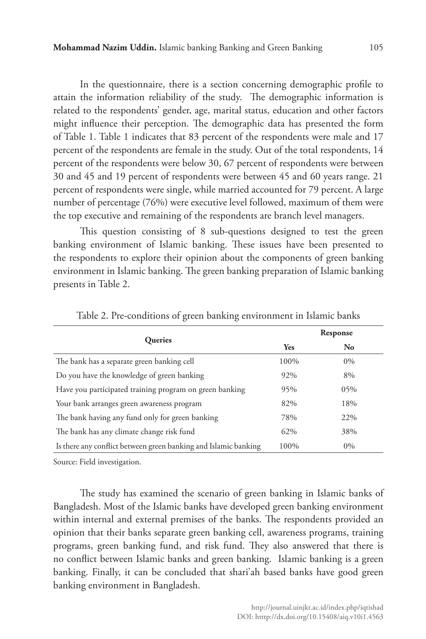In the questionnaire, there is a section concerning demographic profile to attain the information reliability of the study. The demographic information is related to the respondents' gender, age, marital status, education and other factors might influence their perception. The demographic data has presented the form of Table 1. Table 1 indicates that 83 percent of the respondents were male and 17 percent of the respondents are female in the study. Out of the total respondents, 14 percent of the respondents were below 30, 67 percent of respondents were between 30 and 45 and 19 percent of respondents were between 45 and 60 years range. 21 percent of respondents were single, while married accounted for 79 percent. A large number of percentage (76%) were executive level followed, maximum of them were the top executive and remaining of the respondents are branch level managers.

This question consisting of 8 sub-questions designed to test the green banking environment of Islamic banking. These issues have been presented to the respondents to explore their opinion about the components of green banking environment in Islamic banking. The green banking preparation of Islamic banking presents in Table 2.

|                                                                 |      | Response       |
|-----------------------------------------------------------------|------|----------------|
| Queries                                                         | Yes  | N <sub>o</sub> |
| The bank has a separate green banking cell                      | 100% | $0\%$          |
| Do you have the knowledge of green banking                      | 92%  | 8%             |
| Have you participated training program on green banking         | 95%  | 05%            |
| Your bank arranges green awareness program                      | 82%  | 18%            |
| The bank having any fund only for green banking                 | 78%  | 22%            |
| The bank has any climate change risk fund                       | 62%  | 38%            |
| Is there any conflict between green banking and Islamic banking | 100% | $0\%$          |

Table 2. Pre-conditions of green banking environment in Islamic banks

Source: Field investigation.

The study has examined the scenario of green banking in Islamic banks of Bangladesh. Most of the Islamic banks have developed green banking environment within internal and external premises of the banks. The respondents provided an opinion that their banks separate green banking cell, awareness programs, training programs, green banking fund, and risk fund. They also answered that there is no conflict between Islamic banks and green banking. Islamic banking is a green banking. Finally, it can be concluded that shari'ah based banks have good green banking environment in Bangladesh.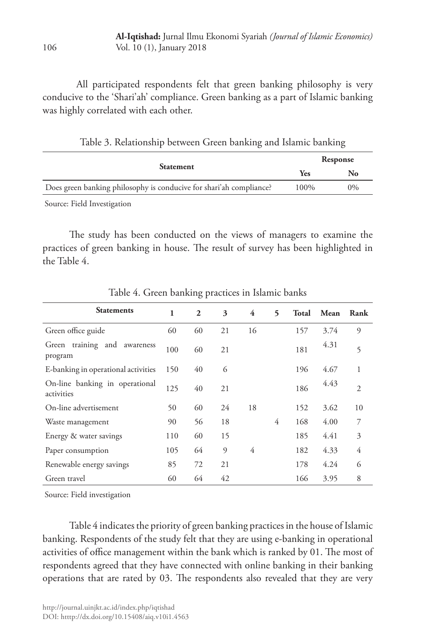All participated respondents felt that green banking philosophy is very conducive to the 'Shari'ah' compliance. Green banking as a part of Islamic banking was highly correlated with each other.

Table 3. Relationship between Green banking and Islamic banking

|                                                                     | Response |       |  |  |
|---------------------------------------------------------------------|----------|-------|--|--|
| <b>Statement</b>                                                    | Yes      |       |  |  |
| Does green banking philosophy is conducive for shari'ah compliance? | 100%     | $0\%$ |  |  |
| _ _                                                                 |          |       |  |  |

Source: Field Investigation

The study has been conducted on the views of managers to examine the practices of green banking in house. The result of survey has been highlighted in the Table 4.

| <b>Statements</b>                            | 1   | 2  | 3              | 4  | 5 | Total | Mean | Rank           |
|----------------------------------------------|-----|----|----------------|----|---|-------|------|----------------|
| Green office guide                           | 60  | 60 | 21             | 16 |   | 157   | 3.74 | 9              |
| Green training and awareness<br>program      | 100 | 60 | 21             |    |   | 181   | 4.31 | 5              |
| E-banking in operational activities          | 150 | 40 | 6              |    |   | 196   | 4.67 | 1              |
| On-line banking in operational<br>activities | 125 | 40 | 21             |    |   | 186   | 4.43 | $\overline{2}$ |
| On-line advertisement                        | 50  | 60 | 24             | 18 |   | 152   | 3.62 | 10             |
| Waste management                             | 90  | 56 | 18             |    | 4 | 168   | 4.00 | 7              |
| Energy & water savings                       | 110 | 60 | 15             |    |   | 185   | 4.41 | 3              |
| Paper consumption                            | 105 | 64 | $\overline{9}$ | 4  |   | 182   | 4.33 | 4              |
| Renewable energy savings                     | 85  | 72 | 21             |    |   | 178   | 4.24 | 6              |
| Green travel                                 | 60  | 64 | 42             |    |   | 166   | 3.95 | 8              |

Table 4. Green banking practices in Islamic banks

Source: Field investigation

Table 4 indicates the priority of green banking practices in the house of Islamic banking. Respondents of the study felt that they are using e-banking in operational activities of office management within the bank which is ranked by 01. The most of respondents agreed that they have connected with online banking in their banking operations that are rated by 03. The respondents also revealed that they are very

106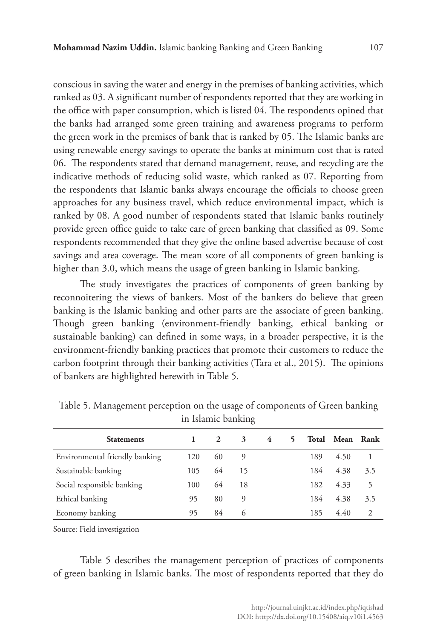conscious in saving the water and energy in the premises of banking activities, which ranked as 03. A significant number of respondents reported that they are working in the office with paper consumption, which is listed 04. The respondents opined that the banks had arranged some green training and awareness programs to perform the green work in the premises of bank that is ranked by 05. The Islamic banks are using renewable energy savings to operate the banks at minimum cost that is rated 06. The respondents stated that demand management, reuse, and recycling are the indicative methods of reducing solid waste, which ranked as 07. Reporting from the respondents that Islamic banks always encourage the officials to choose green approaches for any business travel, which reduce environmental impact, which is ranked by 08. A good number of respondents stated that Islamic banks routinely provide green office guide to take care of green banking that classified as 09. Some respondents recommended that they give the online based advertise because of cost savings and area coverage. The mean score of all components of green banking is higher than 3.0, which means the usage of green banking in Islamic banking.

The study investigates the practices of components of green banking by reconnoitering the views of bankers. Most of the bankers do believe that green banking is the Islamic banking and other parts are the associate of green banking. Though green banking (environment-friendly banking, ethical banking or sustainable banking) can defined in some ways, in a broader perspective, it is the environment-friendly banking practices that promote their customers to reduce the carbon footprint through their banking activities (Tara et al., 2015). The opinions of bankers are highlighted herewith in Table 5.

| <b>Statements</b>              |     | 2  | 3  | 4 | 5 |     | Total Mean Rank |     |
|--------------------------------|-----|----|----|---|---|-----|-----------------|-----|
| Environmental friendly banking | 120 | 60 | 9  |   |   | 189 | 4.50            |     |
| Sustainable banking            | 105 | 64 | 15 |   |   | 184 | 4.38            | 3.5 |
| Social responsible banking     | 100 | 64 | 18 |   |   | 182 | 4.33            | 5   |
| Ethical banking                | 95  | 80 | 9  |   |   | 184 | 4.38            | 3.5 |
| Economy banking                | 95  | 84 | 6  |   |   | 185 | 4.40            | 2   |

Table 5. Management perception on the usage of components of Green banking in Islamic banking

Source: Field investigation

Table 5 describes the management perception of practices of components of green banking in Islamic banks. The most of respondents reported that they do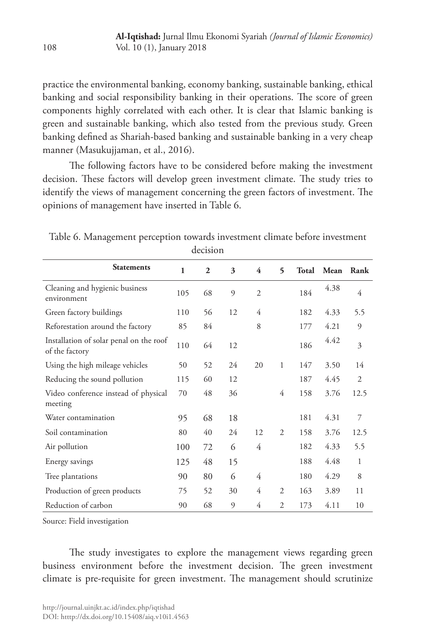practice the environmental banking, economy banking, sustainable banking, ethical banking and social responsibility banking in their operations. The score of green components highly correlated with each other. It is clear that Islamic banking is green and sustainable banking, which also tested from the previous study. Green banking defined as Shariah-based banking and sustainable banking in a very cheap manner (Masukujjaman, et al., 2016).

The following factors have to be considered before making the investment decision. These factors will develop green investment climate. The study tries to identify the views of management concerning the green factors of investment. The opinions of management have inserted in Table 6.

| <b>Statements</b>                                         | 1   | $\mathbf{2}$ | 3  | 4              | $\overline{\phantom{0}}$ | Total | Mean | Rank         |
|-----------------------------------------------------------|-----|--------------|----|----------------|--------------------------|-------|------|--------------|
| Cleaning and hygienic business<br>environment             | 105 | 68           | 9  | $\overline{2}$ |                          | 184   | 4.38 | 4            |
| Green factory buildings                                   | 110 | 56           | 12 | 4              |                          | 182   | 4.33 | 5.5          |
| Reforestation around the factory                          | 85  | 84           |    | 8              |                          | 177   | 4.21 | 9            |
| Installation of solar penal on the roof<br>of the factory | 110 | 64           | 12 |                |                          | 186   | 4.42 | 3            |
| Using the high mileage vehicles                           | 50  | 52           | 24 | 20             | $\mathbf{1}$             | 147   | 3.50 | 14           |
| Reducing the sound pollution                              | 115 | 60           | 12 |                |                          | 187   | 4.45 | 2            |
| Video conference instead of physical<br>meeting           | 70  | 48           | 36 |                | 4                        | 158   | 3.76 | 12.5         |
| Water contamination                                       | 95  | 68           | 18 |                |                          | 181   | 4.31 | 7            |
| Soil contamination                                        | 80  | 40           | 24 | 12             | $\overline{2}$           | 158   | 3.76 | 12.5         |
| Air pollution                                             | 100 | 72           | 6  | 4              |                          | 182   | 4.33 | 5.5          |
| Energy savings                                            | 125 | 48           | 15 |                |                          | 188   | 4.48 | $\mathbf{1}$ |
| Tree plantations                                          | 90  | 80           | 6  | 4              |                          | 180   | 4.29 | 8            |
| Production of green products                              | 75  | 52           | 30 | 4              | $\overline{2}$           | 163   | 3.89 | 11           |
| Reduction of carbon                                       | 90  | 68           | 9  | 4              | $\overline{2}$           | 173   | 4.11 | 10           |

Table 6. Management perception towards investment climate before investment decision

Source: Field investigation

The study investigates to explore the management views regarding green business environment before the investment decision. The green investment climate is pre-requisite for green investment. The management should scrutinize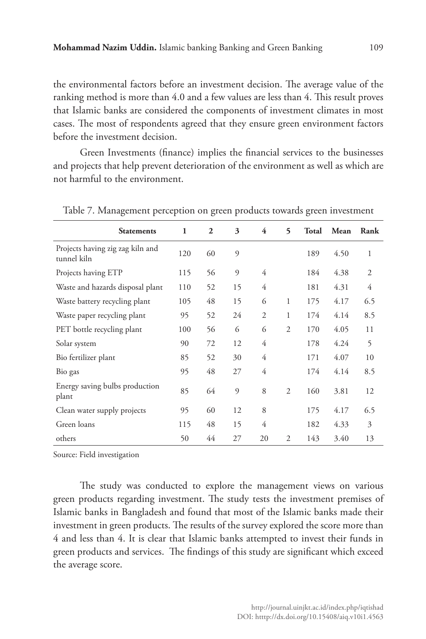the environmental factors before an investment decision. The average value of the ranking method is more than 4.0 and a few values are less than 4. This result proves that Islamic banks are considered the components of investment climates in most cases. The most of respondents agreed that they ensure green environment factors before the investment decision.

Green Investments (finance) implies the financial services to the businesses and projects that help prevent deterioration of the environment as well as which are not harmful to the environment.

| <b>Statements</b>                               | $\mathbf{1}$ | $\overline{2}$ | 3              | 4              | 5              | Total | Mean | Rank           |
|-------------------------------------------------|--------------|----------------|----------------|----------------|----------------|-------|------|----------------|
| Projects having zig zag kiln and<br>tunnel kiln | 120          | 60             | 9              |                |                | 189   | 4.50 | 1              |
| Projects having ETP                             | 115          | 56             | $\mathfrak{g}$ | 4              |                | 184   | 4.38 | $\overline{2}$ |
| Waste and hazards disposal plant                | 110          | 52             | 15             | 4              |                | 181   | 4.31 | 4              |
| Waste battery recycling plant                   | 105          | 48             | 15             | 6              | 1              | 175   | 4.17 | 6.5            |
| Waste paper recycling plant                     | 95           | 52             | 24             | $\overline{2}$ | 1              | 174   | 4.14 | 8.5            |
| PET bottle recycling plant                      | 100          | 56             | 6              | 6              | $\overline{c}$ | 170   | 4.05 | 11             |
| Solar system                                    | 90           | 72             | 12             | 4              |                | 178   | 4.24 | 5              |
| Bio fertilizer plant                            | 85           | 52             | 30             | $\overline{4}$ |                | 171   | 4.07 | 10             |
| Bio gas                                         | 95           | 48             | 27             | 4              |                | 174   | 4.14 | 8.5            |
| Energy saving bulbs production<br>plant         | 85           | 64             | 9              | 8              | $\overline{c}$ | 160   | 3.81 | 12             |
| Clean water supply projects                     | 95           | 60             | 12             | 8              |                | 175   | 4.17 | 6.5            |
| Green loans                                     | 115          | 48             | 15             | 4              |                | 182   | 4.33 | 3              |
| others                                          | 50           | 44             | 27             | 20             | $\overline{2}$ | 143   | 3.40 | 13             |

Table 7. Management perception on green products towards green investment

Source: Field investigation

The study was conducted to explore the management views on various green products regarding investment. The study tests the investment premises of Islamic banks in Bangladesh and found that most of the Islamic banks made their investment in green products. The results of the survey explored the score more than 4 and less than 4. It is clear that Islamic banks attempted to invest their funds in green products and services. The findings of this study are significant which exceed the average score.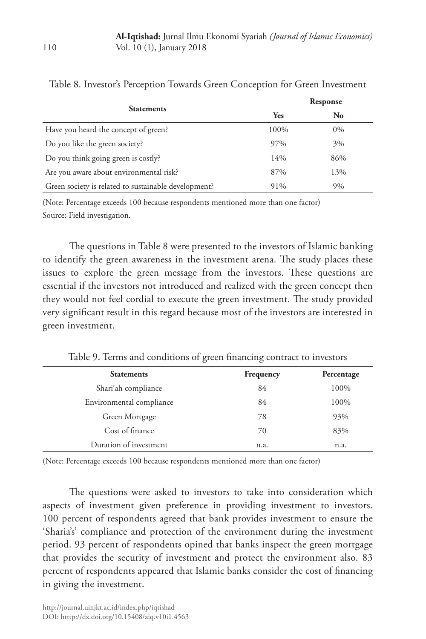|                                                      |            | Response |
|------------------------------------------------------|------------|----------|
| <b>Statements</b>                                    | <b>Yes</b> | No       |
| Have you heard the concept of green?                 | 100%       | 0%       |
| Do you like the green society?                       | 97%        | 3%       |
| Do you think going green is costly?                  | 14%        | 86%      |
| Are you aware about environmental risk?              | 87%        | 13%      |
| Green society is related to sustainable development? | 91%        | 9%       |

Table 8. Investor's Perception Towards Green Conception for Green Investment

(Note: Percentage exceeds 100 because respondents mentioned more than one factor) Source: Field investigation.

The questions in Table 8 were presented to the investors of Islamic banking to identify the green awareness in the investment arena. The study places these issues to explore the green message from the investors. These questions are essential if the investors not introduced and realized with the green concept then they would not feel cordial to execute the green investment. The study provided very significant result in this regard because most of the investors are interested in green investment.

Table 9. Terms and conditions of green financing contract to investors

| <b>Statements</b>        | Frequency | Percentage |
|--------------------------|-----------|------------|
| Shari'ah compliance      | 84        | 100%       |
| Environmental compliance | 84        | 100%       |
| Green Mortgage           | 78        | 93%        |
| Cost of finance          | 70        | 83%        |
| Duration of investment   | n.a.      | n.a.       |

(Note: Percentage exceeds 100 because respondents mentioned more than one factor)

The questions were asked to investors to take into consideration which aspects of investment given preference in providing investment to investors. 100 percent of respondents agreed that bank provides investment to ensure the 'Sharia's' compliance and protection of the environment during the investment period. 93 percent of respondents opined that banks inspect the green mortgage that provides the security of investment and protect the environment also. 83 percent of respondents appeared that Islamic banks consider the cost of financing in giving the investment.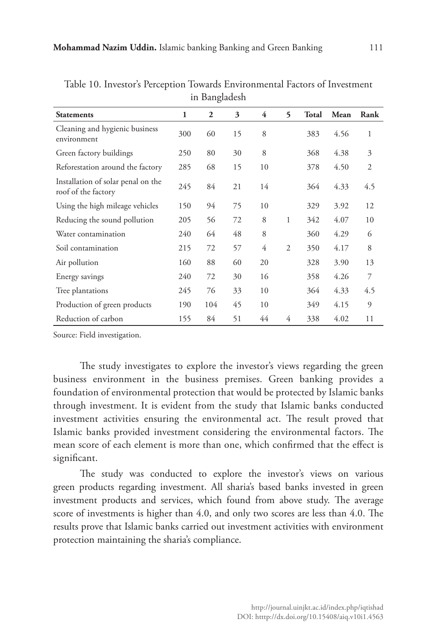| in Bangiadesh                                             |     |              |    |    |                |              |      |                |  |
|-----------------------------------------------------------|-----|--------------|----|----|----------------|--------------|------|----------------|--|
| <b>Statements</b>                                         | 1   | $\mathbf{2}$ | 3  | 4  | 5              | <b>Total</b> | Mean | Rank           |  |
| Cleaning and hygienic business<br>environment             | 300 | 60           | 15 | 8  |                | 383          | 4.56 | 1              |  |
| Green factory buildings                                   | 250 | 80           | 30 | 8  |                | 368          | 4.38 | 3              |  |
| Reforestation around the factory                          | 285 | 68           | 15 | 10 |                | 378          | 4.50 | $\overline{2}$ |  |
| Installation of solar penal on the<br>roof of the factory | 245 | 84           | 21 | 14 |                | 364          | 4.33 | 4.5            |  |
| Using the high mileage vehicles                           | 150 | 94           | 75 | 10 |                | 329          | 3.92 | 12             |  |
| Reducing the sound pollution                              | 205 | 56           | 72 | 8  | 1              | 342          | 4.07 | 10             |  |
| Water contamination                                       | 240 | 64           | 48 | 8  |                | 360          | 4.29 | 6              |  |
| Soil contamination                                        | 215 | 72           | 57 | 4  | $\overline{c}$ | 350          | 4.17 | 8              |  |
| Air pollution                                             | 160 | 88           | 60 | 20 |                | 328          | 3.90 | 13             |  |
| Energy savings                                            | 240 | 72           | 30 | 16 |                | 358          | 4.26 | 7              |  |
| Tree plantations                                          | 245 | 76           | 33 | 10 |                | 364          | 4.33 | 4.5            |  |
| Production of green products                              | 190 | 104          | 45 | 10 |                | 349          | 4.15 | 9              |  |
| Reduction of carbon                                       | 155 | 84           | 51 | 44 | 4              | 338          | 4.02 | 11             |  |

Table 10. Investor's Perception Towards Environmental Factors of Investment in Bangladesh

Source: Field investigation.

The study investigates to explore the investor's views regarding the green business environment in the business premises. Green banking provides a foundation of environmental protection that would be protected by Islamic banks through investment. It is evident from the study that Islamic banks conducted investment activities ensuring the environmental act. The result proved that Islamic banks provided investment considering the environmental factors. The mean score of each element is more than one, which confirmed that the effect is significant.

The study was conducted to explore the investor's views on various green products regarding investment. All sharia's based banks invested in green investment products and services, which found from above study. The average score of investments is higher than 4.0, and only two scores are less than 4.0. The results prove that Islamic banks carried out investment activities with environment protection maintaining the sharia's compliance.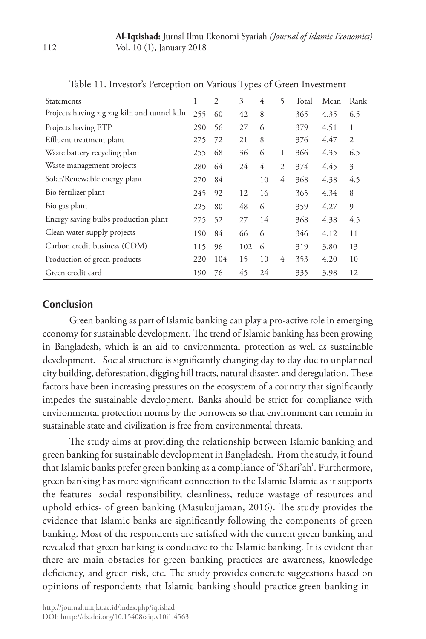| Statements                                   | 1   | $\overline{2}$ | 3   | 4  | 5              | Total | Mean | Rank           |
|----------------------------------------------|-----|----------------|-----|----|----------------|-------|------|----------------|
| Projects having zig zag kiln and tunnel kiln | 255 | 60             | 42  | 8  |                | 365   | 4.35 | 6.5            |
| Projects having ETP                          | 290 | 56             | 27  | 6  |                | 379   | 4.51 | 1              |
| Effluent treatment plant                     | 275 | 72             | 21  | 8  |                | 376   | 4.47 | $\overline{2}$ |
| Waste battery recycling plant                | 255 | 68             | 36  | 6  | 1              | 366   | 4.35 | 6.5            |
| Waste management projects                    | 280 | 64             | 24  | 4  | $\overline{2}$ | 374   | 4.45 | 3              |
| Solar/Renewable energy plant                 | 270 | 84             |     | 10 | 4              | 368   | 4.38 | 4.5            |
| Bio fertilizer plant                         | 245 | 92             | 12  | 16 |                | 365   | 4.34 | 8              |
| Bio gas plant                                | 225 | 80             | 48  | 6  |                | 359   | 4.27 | 9              |
| Energy saving bulbs production plant         | 275 | 52             | 27  | 14 |                | 368   | 4.38 | 4.5            |
| Clean water supply projects                  | 190 | 84             | 66  | 6  |                | 346   | 4.12 | 11             |
| Carbon credit business (CDM)                 | 115 | 96             | 102 | 6  |                | 319   | 3.80 | 13             |
| Production of green products                 | 220 | 104            | 15  | 10 | 4              | 353   | 4.20 | 10             |
| Green credit card                            | 190 | 76             | 45  | 24 |                | 335   | 3.98 | 12             |
|                                              |     |                |     |    |                |       |      |                |

Table 11. Investor's Perception on Various Types of Green Investment

### **Conclusion**

Green banking as part of Islamic banking can play a pro-active role in emerging economy for sustainable development. The trend of Islamic banking has been growing in Bangladesh, which is an aid to environmental protection as well as sustainable development. Social structure is significantly changing day to day due to unplanned city building, deforestation, digging hill tracts, natural disaster, and deregulation. These factors have been increasing pressures on the ecosystem of a country that significantly impedes the sustainable development. Banks should be strict for compliance with environmental protection norms by the borrowers so that environment can remain in sustainable state and civilization is free from environmental threats.

The study aims at providing the relationship between Islamic banking and green banking for sustainable development in Bangladesh. From the study, it found that Islamic banks prefer green banking as a compliance of 'Shari'ah'. Furthermore, green banking has more significant connection to the Islamic Islamic as it supports the features- social responsibility, cleanliness, reduce wastage of resources and uphold ethics- of green banking (Masukujjaman, 2016). The study provides the evidence that Islamic banks are significantly following the components of green banking. Most of the respondents are satisfied with the current green banking and revealed that green banking is conducive to the Islamic banking. It is evident that there are main obstacles for green banking practices are awareness, knowledge deficiency, and green risk, etc. The study provides concrete suggestions based on opinions of respondents that Islamic banking should practice green banking in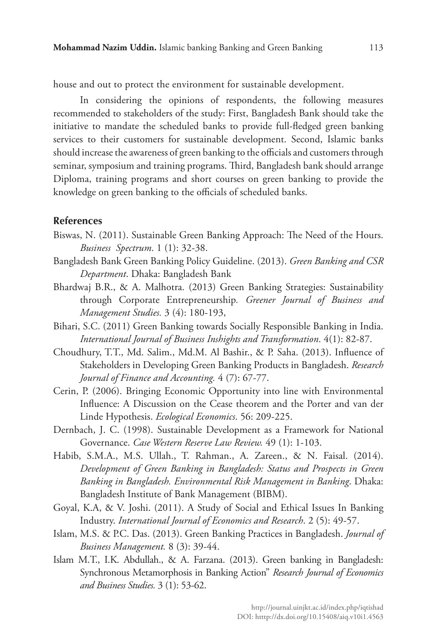house and out to protect the environment for sustainable development.

In considering the opinions of respondents, the following measures recommended to stakeholders of the study: First, Bangladesh Bank should take the initiative to mandate the scheduled banks to provide full-fledged green banking services to their customers for sustainable development. Second, Islamic banks should increase the awareness of green banking to the officials and customers through seminar, symposium and training programs. Third, Bangladesh bank should arrange Diploma, training programs and short courses on green banking to provide the knowledge on green banking to the officials of scheduled banks.

#### **References**

- Biswas, N. (2011). Sustainable Green Banking Approach: The Need of the Hours. *Business Spectrum*. 1 (1): 32-38.
- Bangladesh Bank Green Banking Policy Guideline. (2013). *Green Banking and CSR Department*. Dhaka: Bangladesh Bank
- Bhardwaj B.R., & A. Malhotra. (2013) Green Banking Strategies: Sustainability through Corporate Entrepreneurship*. Greener Journal of Business and Management Studies.* 3 (4): 180-193,
- Bihari, S.C. (2011) Green Banking towards Socially Responsible Banking in India. *International Journal of Business Inshights and Transformation*. 4(1): 82-87.
- Choudhury, T.T., Md. Salim., Md.M. Al Bashir., & P. Saha. (2013). Influence of Stakeholders in Developing Green Banking Products in Bangladesh. *Research Journal of Finance and Accounting.* 4 (7): 67-77.
- Cerin, P. (2006). Bringing Economic Opportunity into line with Environmental Influence: A Discussion on the Cease theorem and the Porter and van der Linde Hypothesis. *Ecological Economics*. 56: 209-225.
- Dernbach, J. C. (1998). Sustainable Development as a Framework for National Governance. *Case Western Reserve Law Review.* 49 (1): 1-103.
- Habib, S.M.A., M.S. Ullah., T. Rahman., A. Zareen., & N. Faisal. (2014). *Development of Green Banking in Bangladesh: Status and Prospects in Green Banking in Bangladesh. Environmental Risk Management in Banking*. Dhaka: Bangladesh Institute of Bank Management (BIBM).
- Goyal, K.A, & V. Joshi. (2011). A Study of Social and Ethical Issues In Banking Industry. *International Journal of Economics and Research*. 2 (5): 49-57.
- Islam, M.S. & P.C. Das. (2013). Green Banking Practices in Bangladesh. *Journal of Business Management.* 8 (3): 39-44.
- Islam M.T., I.K. Abdullah., & A. Farzana. (2013). Green banking in Bangladesh: Synchronous Metamorphosis in Banking Action" *Research Journal of Economics and Business Studies.* 3 (1): 53-62.